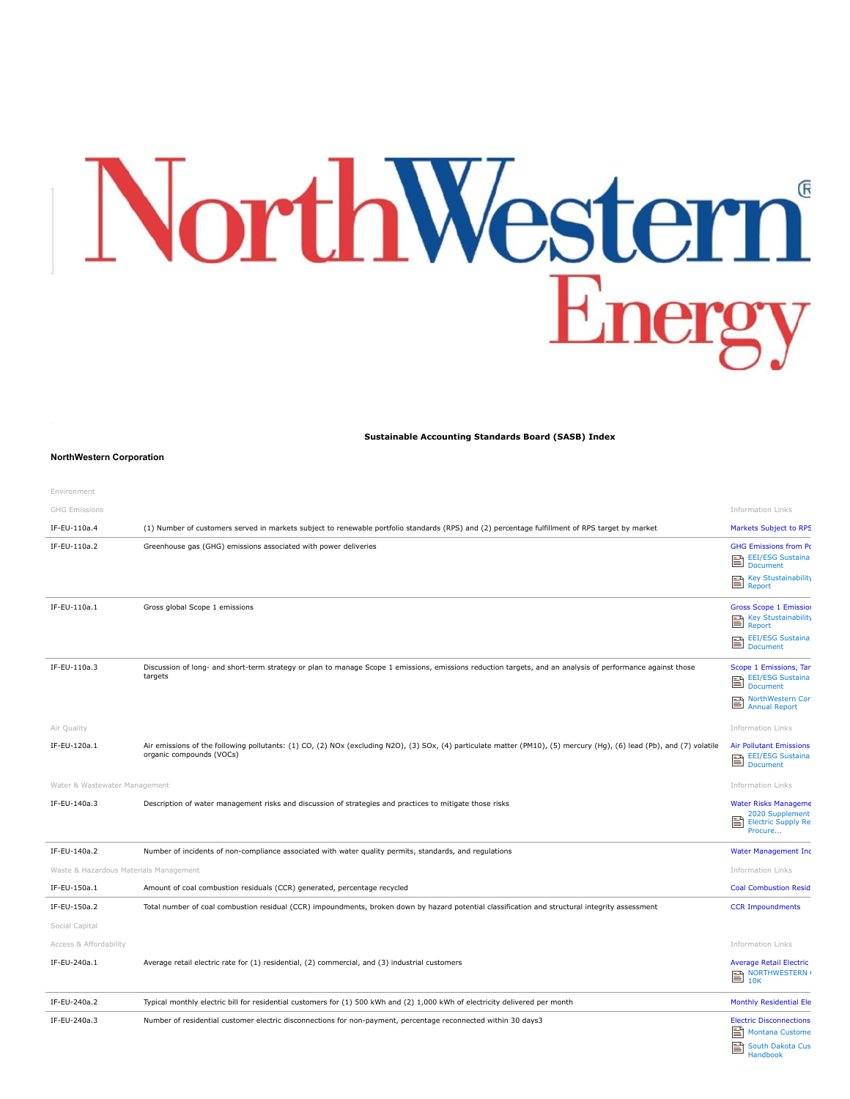## NorthWestern®

**Sustainable Accounting Standards Board (SASB) Index**

## **NorthWestern Corporation**

| Environment                            |                                                                                                                                                                                                   |                                                                                             |
|----------------------------------------|---------------------------------------------------------------------------------------------------------------------------------------------------------------------------------------------------|---------------------------------------------------------------------------------------------|
| <b>GHG Emissions</b>                   |                                                                                                                                                                                                   | <b>Information Links</b>                                                                    |
| IF-EU-110a.4                           | (1) Number of customers served in markets subject to renewable portfolio standards (RPS) and (2) percentage fulfillment of RPS target by market                                                   | Markets Subject to RPS                                                                      |
| IF-EU-110a.2                           | Greenhouse gas (GHG) emissions associated with power deliveries                                                                                                                                   | <b>GHG Emissions from Po</b><br><b>EEI/ESG Sustaina</b><br>B<br><b>Document</b>             |
|                                        |                                                                                                                                                                                                   | Key Stustainability<br>e<br>Report                                                          |
| IF-EU-110a.1                           | Gross global Scope 1 emissions                                                                                                                                                                    | <b>Gross Scope 1 Emission</b><br>Key Stustainability<br>e<br>Report                         |
|                                        |                                                                                                                                                                                                   | <b>EEI/ESG Sustaina</b><br>B<br><b>Document</b>                                             |
| IF-EU-110a.3                           | Discussion of long- and short-term strategy or plan to manage Scope 1 emissions, emissions reduction targets, and an analysis of performance against those<br>targets                             | Scope 1 Emissions, Tar<br><b>EEI/ESG Sustaina</b><br>e<br><b>Document</b>                   |
|                                        |                                                                                                                                                                                                   | NorthWestern Cor<br>트<br><b>Annual Report</b>                                               |
| Air Quality                            |                                                                                                                                                                                                   | <b>Information Links</b>                                                                    |
| IF-EU-120a.1                           | Air emissions of the following pollutants: (1) CO, (2) NOx (excluding N2O), (3) SOx, (4) particulate matter (PM10), (5) mercury (Hg), (6) lead (Pb), and (7) volatile<br>organic compounds (VOCs) | <b>Air Pollutant Emissions</b><br><b>EEI/ESG Sustaina</b><br>閨<br>Document                  |
| Water & Wastewater Management          |                                                                                                                                                                                                   | <b>Information Links</b>                                                                    |
| IF-EU-140a.3                           | Description of water management risks and discussion of strategies and practices to mitigate those risks                                                                                          | <b>Water Risks Manageme</b><br>2020 Supplement<br>昏<br><b>Electric Supply Re</b><br>Procure |
| IF-EU-140a.2                           | Number of incidents of non-compliance associated with water quality permits, standards, and regulations                                                                                           | <b>Water Management Inc.</b>                                                                |
| Waste & Hazardous Materials Management |                                                                                                                                                                                                   | <b>Information Links</b>                                                                    |
| IF-EU-150a.1                           | Amount of coal combustion residuals (CCR) generated, percentage recycled                                                                                                                          | <b>Coal Combustion Resid</b>                                                                |
| IF-EU-150a.2                           | Total number of coal combustion residual (CCR) impoundments, broken down by hazard potential classification and structural integrity assessment                                                   | <b>CCR Impoundments</b>                                                                     |
| Social Capital                         |                                                                                                                                                                                                   |                                                                                             |
| Access & Affordability                 |                                                                                                                                                                                                   | <b>Information Links</b>                                                                    |
| IF-EU-240a.1                           | Average retail electric rate for (1) residential, (2) commercial, and (3) industrial customers                                                                                                    | <b>Average Retail Electric</b><br>$\sum_{10k}^{12k}$                                        |
| IF-EU-240a.2                           | Typical monthly electric bill for residential customers for (1) 500 kWh and (2) 1,000 kWh of electricity delivered per month                                                                      | Monthly Residential Ele                                                                     |
| IF-EU-240a.3                           | Number of residential customer electric disconnections for non-payment, percentage reconnected within 30 days3                                                                                    | <b>Electric Disconnections</b><br>EA Martin                                                 |

 $\equiv$  Monta [South Dakota Cus](https://www.northwesternenergy.com/docs/default-source/documents/customer-handbook/3453-southdakota_customerhandbook_2020.pdf) Handbook